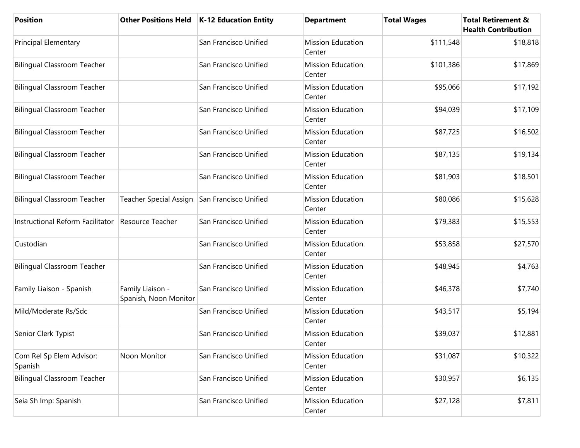| <b>Position</b>                     | <b>Other Positions Held</b>                  | K-12 Education Entity | <b>Department</b>                  | <b>Total Wages</b> | <b>Total Retirement &amp;</b><br><b>Health Contribution</b> |
|-------------------------------------|----------------------------------------------|-----------------------|------------------------------------|--------------------|-------------------------------------------------------------|
| <b>Principal Elementary</b>         |                                              | San Francisco Unified | <b>Mission Education</b><br>Center | \$111,548          | \$18,818                                                    |
| <b>Bilingual Classroom Teacher</b>  |                                              | San Francisco Unified | <b>Mission Education</b><br>Center | \$101,386          | \$17,869                                                    |
| <b>Bilingual Classroom Teacher</b>  |                                              | San Francisco Unified | <b>Mission Education</b><br>Center | \$95,066           | \$17,192                                                    |
| <b>Bilingual Classroom Teacher</b>  |                                              | San Francisco Unified | <b>Mission Education</b><br>Center | \$94,039           | \$17,109                                                    |
| <b>Bilingual Classroom Teacher</b>  |                                              | San Francisco Unified | <b>Mission Education</b><br>Center | \$87,725           | \$16,502                                                    |
| <b>Bilingual Classroom Teacher</b>  |                                              | San Francisco Unified | <b>Mission Education</b><br>Center | \$87,135           | \$19,134                                                    |
| <b>Bilingual Classroom Teacher</b>  |                                              | San Francisco Unified | <b>Mission Education</b><br>Center | \$81,903           | \$18,501                                                    |
| <b>Bilingual Classroom Teacher</b>  | Teacher Special Assign San Francisco Unified |                       | <b>Mission Education</b><br>Center | \$80,086           | \$15,628                                                    |
| Instructional Reform Facilitator    | Resource Teacher                             | San Francisco Unified | <b>Mission Education</b><br>Center | \$79,383           | \$15,553                                                    |
| Custodian                           |                                              | San Francisco Unified | <b>Mission Education</b><br>Center | \$53,858           | \$27,570                                                    |
| <b>Bilingual Classroom Teacher</b>  |                                              | San Francisco Unified | <b>Mission Education</b><br>Center | \$48,945           | \$4,763                                                     |
| Family Liaison - Spanish            | Family Liaison -<br>Spanish, Noon Monitor    | San Francisco Unified | <b>Mission Education</b><br>Center | \$46,378           | \$7,740                                                     |
| Mild/Moderate Rs/Sdc                |                                              | San Francisco Unified | <b>Mission Education</b><br>Center | \$43,517           | \$5,194                                                     |
| Senior Clerk Typist                 |                                              | San Francisco Unified | <b>Mission Education</b><br>Center | \$39,037           | \$12,881                                                    |
| Com Rel Sp Elem Advisor:<br>Spanish | Noon Monitor                                 | San Francisco Unified | <b>Mission Education</b><br>Center | \$31,087           | \$10,322                                                    |
| <b>Bilingual Classroom Teacher</b>  |                                              | San Francisco Unified | <b>Mission Education</b><br>Center | \$30,957           | \$6,135                                                     |
| Seia Sh Imp: Spanish                |                                              | San Francisco Unified | <b>Mission Education</b><br>Center | \$27,128           | \$7,811                                                     |